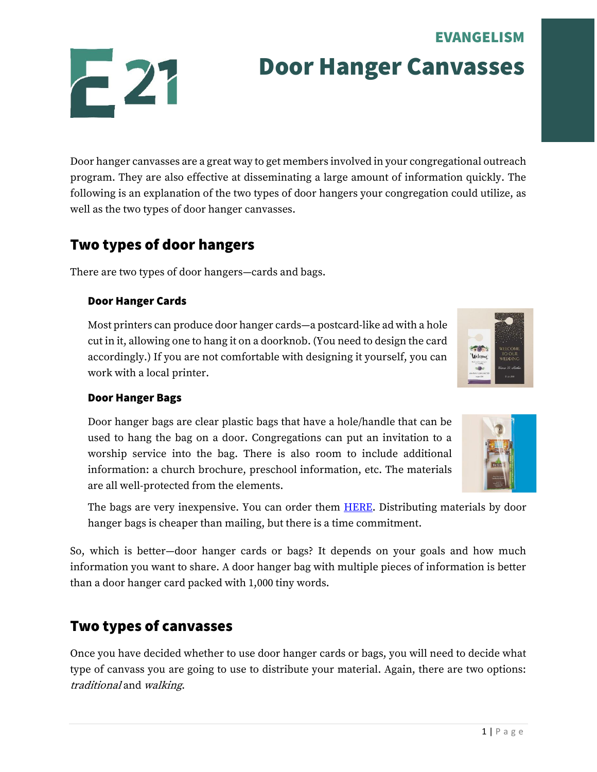$1 | P \text{ a g e}$ 

## EVANGELISM

Door Hanger Canvasses

Door hanger canvasses are a great way to get members involved in your congregational outreach program. They are also effective at disseminating a large amount of information quickly. The following is an explanation of the two types of door hangers your congregation could utilize, as well as the two types of door hanger canvasses.

# Two types of door hangers

There are two types of door hangers—cards and bags.

### Door Hanger Cards

Most printers can produce door hanger cards—a postcard-like ad with a hole cut in it, allowing one to hang it on a doorknob. (You need to design the card accordingly.) If you are not comfortable with designing it yourself, you can work with a local printer.

#### Door Hanger Bags

Door hanger bags are clear plastic bags that have a hole/handle that can be used to hang the bag on a door. Congregations can put an invitation to a worship service into the bag. There is also room to include additional information: a church brochure, preschool information, etc. The materials are all well-protected from the elements.

The bags are very inexpensive. You can order them **HERE**. Distributing materials by door hanger bags is cheaper than mailing, but there is a time commitment.

So, which is better—door hanger cards or bags? It depends on your goals and how much information you want to share. A door hanger bag with multiple pieces of information is better than a door hanger card packed with 1,000 tiny words.

# Two types of canvasses

Once you have decided whether to use door hanger cards or bags, you will need to decide what type of canvass you are going to use to distribute your material. Again, there are two options: traditional and walking.





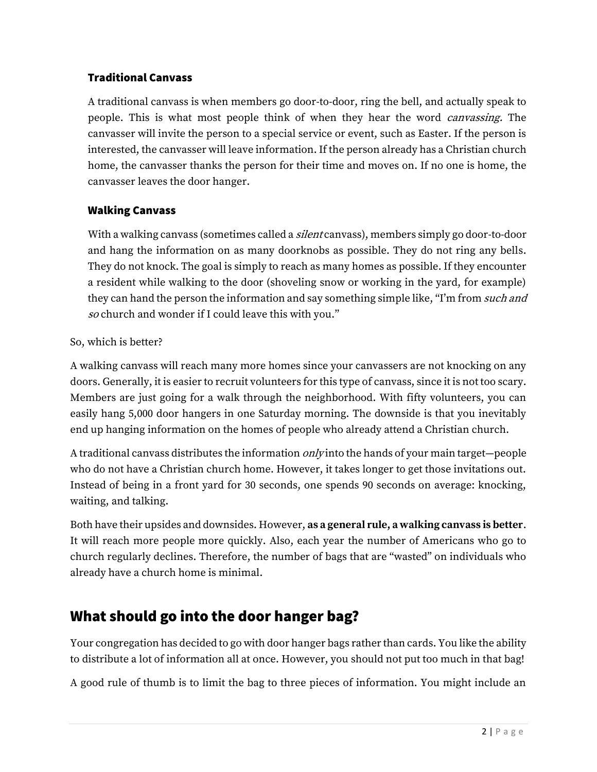#### Traditional Canvass

A traditional canvass is when members go door-to-door, ring the bell, and actually speak to people. This is what most people think of when they hear the word *canvassing*. The canvasser will invite the person to a special service or event, such as Easter. If the person is interested, the canvasser will leave information. If the person already has a Christian church home, the canvasser thanks the person for their time and moves on. If no one is home, the canvasser leaves the door hanger.

#### Walking Canvass

With a walking canvass (sometimes called a *silent* canvass), members simply go door-to-door and hang the information on as many doorknobs as possible. They do not ring any bells. They do not knock. The goal is simply to reach as many homes as possible. If they encounter a resident while walking to the door (shoveling snow or working in the yard, for example) they can hand the person the information and say something simple like, "I'm from *such and* so church and wonder if I could leave this with you."

#### So, which is better?

A walking canvass will reach many more homes since your canvassers are not knocking on any doors. Generally, it is easier to recruit volunteers for this type of canvass, since it is not too scary. Members are just going for a walk through the neighborhood. With fifty volunteers, you can easily hang 5,000 door hangers in one Saturday morning. The downside is that you inevitably end up hanging information on the homes of people who already attend a Christian church.

A traditional canvass distributes the information *only* into the hands of your main target—people who do not have a Christian church home. However, it takes longer to get those invitations out. Instead of being in a front yard for 30 seconds, one spends 90 seconds on average: knocking, waiting, and talking.

Both have their upsides and downsides. However, **as a general rule, a walking canvass is better**. It will reach more people more quickly. Also, each year the number of Americans who go to church regularly declines. Therefore, the number of bags that are "wasted" on individuals who already have a church home is minimal.

## What should go into the door hanger bag?

Your congregation has decided to go with door hanger bags rather than cards. You like the ability to distribute a lot of information all at once. However, you should not put too much in that bag!

A good rule of thumb is to limit the bag to three pieces of information. You might include an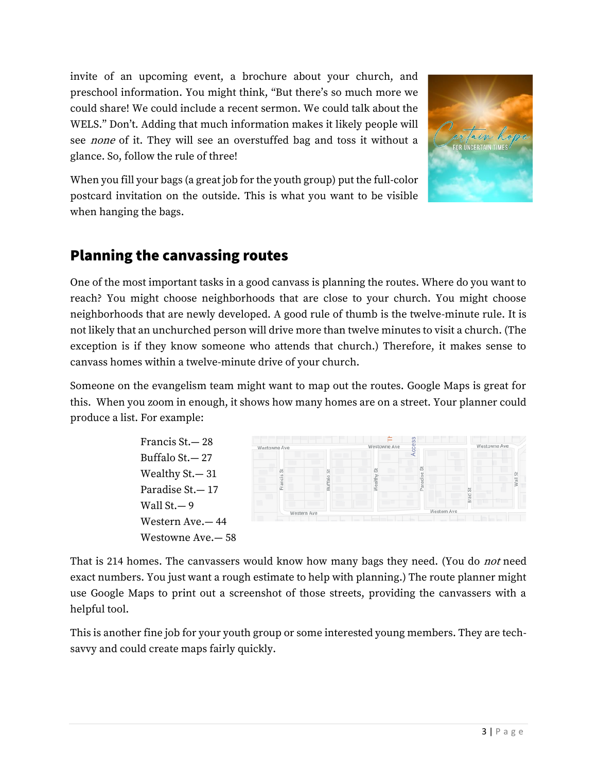invite of an upcoming event, a brochure about your church, and preschool information. You might think, "But there's so much more we could share! We could include a recent sermon. We could talk about the WELS." Don't. Adding that much information makes it likely people will see none of it. They will see an overstuffed bag and toss it without a glance. So, follow the rule of three!



When you fill your bags (a great job for the youth group) put the full-color postcard invitation on the outside. This is what you want to be visible when hanging the bags.

# Planning the canvassing routes

One of the most important tasks in a good canvass is planning the routes. Where do you want to reach? You might choose neighborhoods that are close to your church. You might choose neighborhoods that are newly developed. A good rule of thumb is the twelve-minute rule. It is not likely that an unchurched person will drive more than twelve minutes to visit a church. (The exception is if they know someone who attends that church.) Therefore, it makes sense to canvass homes within a twelve-minute drive of your church.

Someone on the evangelism team might want to map out the routes. Google Maps is great for this. When you zoom in enough, it shows how many homes are on a street. Your planner could produce a list. For example:

> Francis St.— 28 Buffalo St.— 27 Wealthy St.— 31 Paradise St.— 17 Wall  $St = 9$ Western Ave.— 44 Westowne Ave.— 58



That is 214 homes. The canvassers would know how many bags they need. (You do *not* need exact numbers. You just want a rough estimate to help with planning.) The route planner might use Google Maps to print out a screenshot of those streets, providing the canvassers with a helpful tool.

This is another fine job for your youth group or some interested young members. They are techsavvy and could create maps fairly quickly.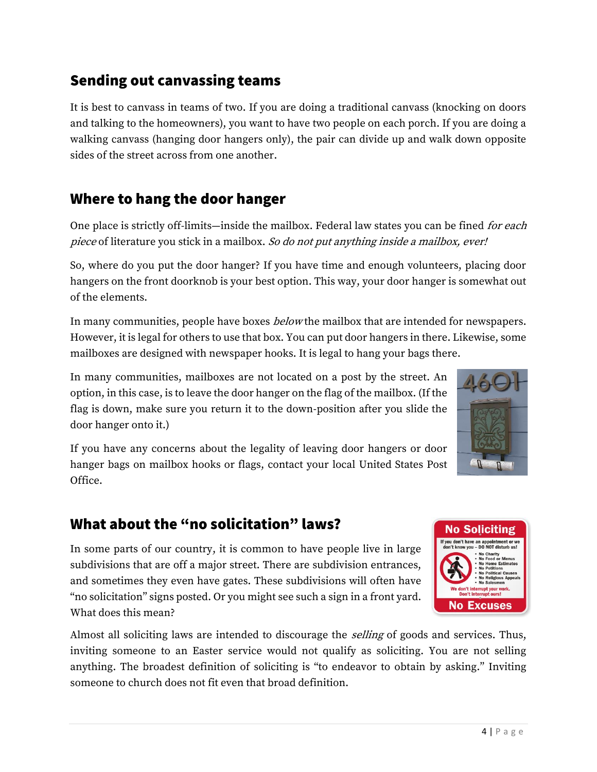## Sending out canvassing teams

It is best to canvass in teams of two. If you are doing a traditional canvass (knocking on doors and talking to the homeowners), you want to have two people on each porch. If you are doing a walking canvass (hanging door hangers only), the pair can divide up and walk down opposite sides of the street across from one another.

## Where to hang the door hanger

One place is strictly off-limits—inside the mailbox. Federal law states you can be fined for each piece of literature you stick in a mailbox. So do not put anything inside a mailbox, ever!

So, where do you put the door hanger? If you have time and enough volunteers, placing door hangers on the front doorknob is your best option. This way, your door hanger is somewhat out of the elements.

In many communities, people have boxes *below* the mailbox that are intended for newspapers. However, it is legal for others to use that box. You can put door hangers in there. Likewise, some mailboxes are designed with newspaper hooks. It is legal to hang your bags there.

In many communities, mailboxes are not located on a post by the street. An option, in this case, is to leave the door hanger on the flag of the mailbox. (If the flag is down, make sure you return it to the down-position after you slide the door hanger onto it.)

If you have any concerns about the legality of leaving door hangers or door hanger bags on mailbox hooks or flags, contact your local United States Post Office.

# What about the "no solicitation" laws?

In some parts of our country, it is common to have people live in large subdivisions that are off a major street. There are subdivision entrances, and sometimes they even have gates. These subdivisions will often have "no solicitation" signs posted. Or you might see such a sign in a front yard. What does this mean?

Almost all soliciting laws are intended to discourage the *selling* of goods and services. Thus, inviting someone to an Easter service would not qualify as soliciting. You are not selling anything. The broadest definition of soliciting is "to endeavor to obtain by asking." Inviting someone to church does not fit even that broad definition.



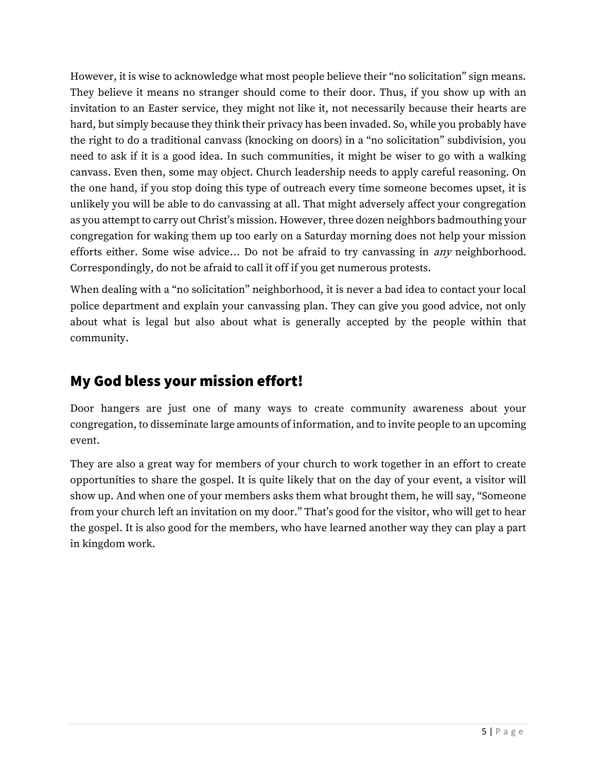However, it is wise to acknowledge what most people believe their "no solicitation" sign means. They believe it means no stranger should come to their door. Thus, if you show up with an invitation to an Easter service, they might not like it, not necessarily because their hearts are hard, but simply because they think their privacy has been invaded. So, while you probably have the right to do a traditional canvass (knocking on doors) in a "no solicitation" subdivision, you need to ask if it is a good idea. In such communities, it might be wiser to go with a walking canvass. Even then, some may object. Church leadership needs to apply careful reasoning. On the one hand, if you stop doing this type of outreach every time someone becomes upset, it is unlikely you will be able to do canvassing at all. That might adversely affect your congregation as you attempt to carry out Christ's mission. However, three dozen neighbors badmouthing your congregation for waking them up too early on a Saturday morning does not help your mission efforts either. Some wise advice... Do not be afraid to try canvassing in *any* neighborhood. Correspondingly, do not be afraid to call it off if you get numerous protests.

When dealing with a "no solicitation" neighborhood, it is never a bad idea to contact your local police department and explain your canvassing plan. They can give you good advice, not only about what is legal but also about what is generally accepted by the people within that community.

# My God bless your mission effort!

Door hangers are just one of many ways to create community awareness about your congregation, to disseminate large amounts of information, and to invite people to an upcoming event.

They are also a great way for members of your church to work together in an effort to create opportunities to share the gospel. It is quite likely that on the day of your event, a visitor will show up. And when one of your members asks them what brought them, he will say, "Someone from your church left an invitation on my door." That's good for the visitor, who will get to hear the gospel. It is also good for the members, who have learned another way they can play a part in kingdom work.